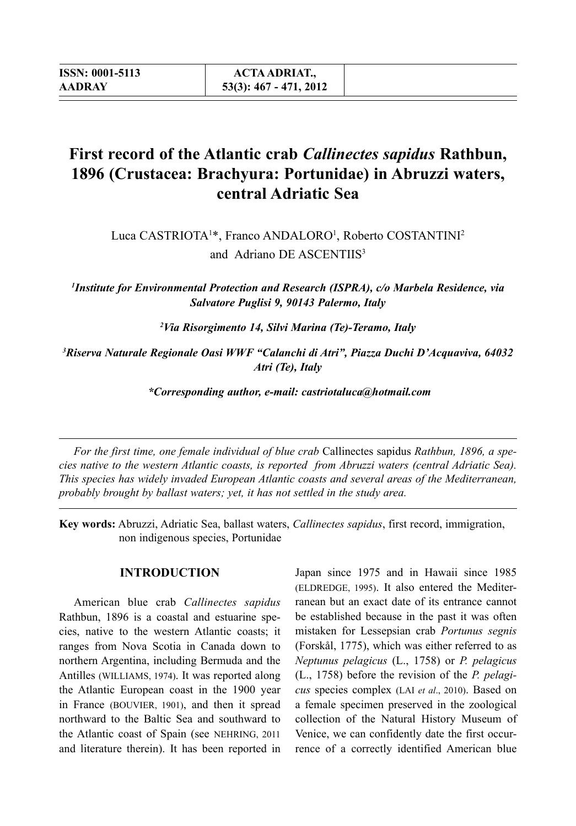# **First record of the Atlantic crab** *Callinectes sapidus* **Rathbun, 1896 (Crustacea: Brachyura: Portunidae) in Abruzzi waters, central Adriatic Sea**

Luca CASTRIOTA<sup>1\*</sup>, Franco ANDALORO<sup>1</sup>, Roberto COSTANTINI<sup>2</sup> and Adriano DE ASCENTIIS<sup>3</sup>

*1 Institute for Environmental Protection and Research (ISPRA), c/o Marbela Residence, via Salvatore Puglisi 9, 90143 Palermo, Italy*

*2 Via Risorgimento 14, Silvi Marina (Te)-Teramo, Italy*

*3 Riserva Naturale Regionale Oasi WWF "Calanchi di Atri", Piazza Duchi D'Acquaviva, 64032 Atri (Te), Italy*

 *\*Corresponding author, e-mail: castriotaluca@hotmail.com*

*For the first time, one female individual of blue crab* Callinectes sapidus *Rathbun, 1896, a species native to the western Atlantic coasts, is reported from Abruzzi waters (central Adriatic Sea). This species has widely invaded European Atlantic coasts and several areas of the Mediterranean, probably brought by ballast waters; yet, it has not settled in the study area.*

**Key words:** Abruzzi, Adriatic Sea, ballast waters, *Callinectes sapidus*, first record, immigration, non indigenous species, Portunidae

#### **INTRODUCTION**

American blue crab *Callinectes sapidus* Rathbun, 1896 is a coastal and estuarine species, native to the western Atlantic coasts; it ranges from Nova Scotia in Canada down to northern Argentina, including Bermuda and the Antilles (Williams, 1974). It was reported along the Atlantic European coast in the 1900 year in France (Bouvier, 1901), and then it spread northward to the Baltic Sea and southward to the Atlantic coast of Spain (see Nehring, 2011 and literature therein). It has been reported in

Japan since 1975 and in Hawaii since 1985 (ELDREDGE, 1995). It also entered the Mediterranean but an exact date of its entrance cannot be established because in the past it was often mistaken for Lessepsian crab *Portunus segnis* (Forskål, 1775), which was either referred to as *Neptunus pelagicus* (L., 1758) or *P. pelagicus* (L., 1758) before the revision of the *P. pelagicus* species complex (Lai *et al*., 2010). Based on a female specimen preserved in the zoological collection of the Natural History Museum of Venice, we can confidently date the first occurrence of a correctly identified American blue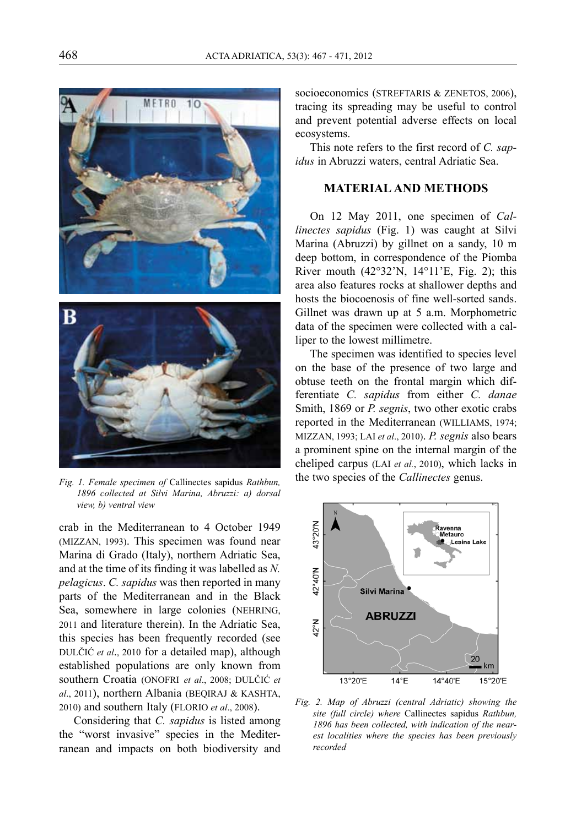

*Fig. 1. Female specimen of* Callinectes sapidus *Rathbun, 1896 collected at Silvi Marina, Abruzzi: a) dorsal view, b) ventral view*

crab in the Mediterranean to 4 October 1949 (Mizzan, 1993). This specimen was found near Marina di Grado (Italy), northern Adriatic Sea, and at the time of its finding it was labelled as *N. pelagicus*. *C. sapidus* was then reported in many parts of the Mediterranean and in the Black Sea, somewhere in large colonies (Nehring, 2011 and literature therein). In the Adriatic Sea, this species has been frequently recorded (see Dulčić *et al*., 2010 for a detailed map), although established populations are only known from southern Croatia (ONOFRI et al., 2008; DULČIĆ et *al.*, 2011), northern Albania (BEQIRAJ & KASHTA, 2010) and southern Italy (Florio *et al*., 2008).

Considering that *C. sapidus* is listed among the "worst invasive" species in the Mediterranean and impacts on both biodiversity and socioeconomics (STREFTARIS & ZENETOS, 2006), tracing its spreading may be useful to control and prevent potential adverse effects on local ecosystems.

This note refers to the first record of *C. sapidus* in Abruzzi waters, central Adriatic Sea.

### **MATERIAL AND METHODS**

On 12 May 2011, one specimen of *Callinectes sapidus* (Fig. 1) was caught at Silvi Marina (Abruzzi) by gillnet on a sandy, 10 m deep bottom, in correspondence of the Piomba River mouth  $(42^{\circ}32^{\prime}N, 14^{\circ}11^{\prime}E, Fig. 2)$ ; this area also features rocks at shallower depths and hosts the biocoenosis of fine well-sorted sands. Gillnet was drawn up at 5 a.m. Morphometric data of the specimen were collected with a calliper to the lowest millimetre.

The specimen was identified to species level on the base of the presence of two large and obtuse teeth on the frontal margin which differentiate *C. sapidus* from either *C. danae* Smith, 1869 or *P. segnis*, two other exotic crabs reported in the Mediterranean (WILLIAMS, 1974; Mizzan, 1993; Lai *et al*., 2010). *P. segnis* also bears a prominent spine on the internal margin of the cheliped carpus (Lai *et al.*, 2010), which lacks in the two species of the *Callinectes* genus.



*Fig. 2. Map of Abruzzi (central Adriatic) showing the site (full circle) where* Callinectes sapidus *Rathbun, 1896 has been collected, with indication of the nearest localities where the species has been previously recorded*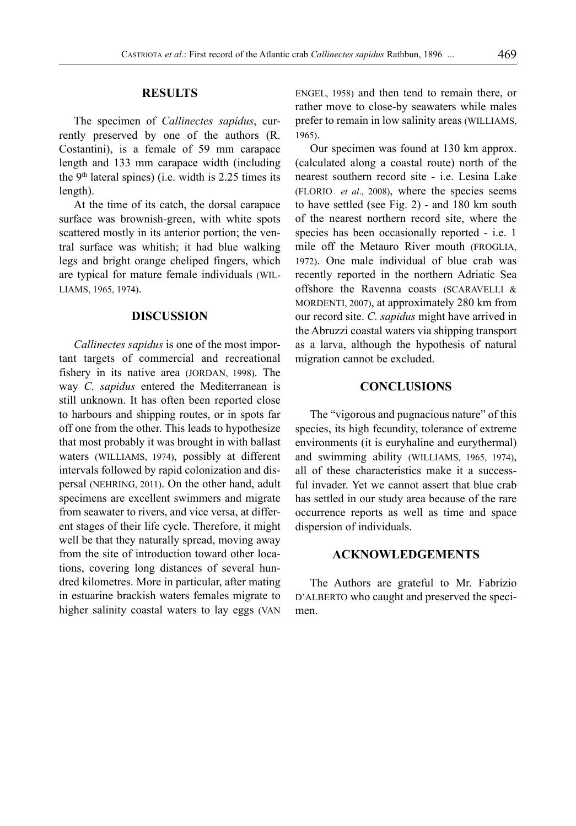### **RESULTS**

The specimen of *Callinectes sapidus*, currently preserved by one of the authors (R. Costantini), is a female of 59 mm carapace length and 133 mm carapace width (including the  $9<sup>th</sup>$  lateral spines) (i.e. width is 2.25 times its length).

At the time of its catch, the dorsal carapace surface was brownish-green, with white spots scattered mostly in its anterior portion; the ventral surface was whitish; it had blue walking legs and bright orange cheliped fingers, which are typical for mature female individuals (Williams, 1965, 1974).

#### **DISCUSSION**

*Callinectes sapidus* is one of the most important targets of commercial and recreational fishery in its native area (JORDAN, 1998). The way *C. sapidus* entered the Mediterranean is still unknown. It has often been reported close to harbours and shipping routes, or in spots far off one from the other. This leads to hypothesize that most probably it was brought in with ballast waters (WILLIAMS, 1974), possibly at different intervals followed by rapid colonization and dispersal (Nehring, 2011). On the other hand, adult specimens are excellent swimmers and migrate from seawater to rivers, and vice versa, at different stages of their life cycle. Therefore, it might well be that they naturally spread, moving away from the site of introduction toward other locations, covering long distances of several hundred kilometres. More in particular, after mating in estuarine brackish waters females migrate to higher salinity coastal waters to lay eggs (van

Engel, 1958) and then tend to remain there, or rather move to close-by seawaters while males prefer to remain in low salinity areas (WILLIAMS, 1965).

Our specimen was found at 130 km approx. (calculated along a coastal route) north of the nearest southern record site - i.e. Lesina Lake (Florio *et al*., 2008), where the species seems to have settled (see Fig. 2) - and 180 km south of the nearest northern record site, where the species has been occasionally reported - i.e. 1 mile off the Metauro River mouth (Froglia, 1972). One male individual of blue crab was recently reported in the northern Adriatic Sea offshore the Ravenna coasts (SCARAVELLI  $\&$ MORDENTI, 2007), at approximately 280 km from our record site. *C. sapidus* might have arrived in the Abruzzi coastal waters via shipping transport as a larva, although the hypothesis of natural migration cannot be excluded.

### **CONCLUSIONS**

The "vigorous and pugnacious nature" of this species, its high fecundity, tolerance of extreme environments (it is euryhaline and eurythermal) and swimming ability (Williams, 1965, 1974), all of these characteristics make it a successful invader. Yet we cannot assert that blue crab has settled in our study area because of the rare occurrence reports as well as time and space dispersion of individuals.

#### **Acknowledgements**

The Authors are grateful to Mr. Fabrizio D'ALBERTO who caught and preserved the specimen.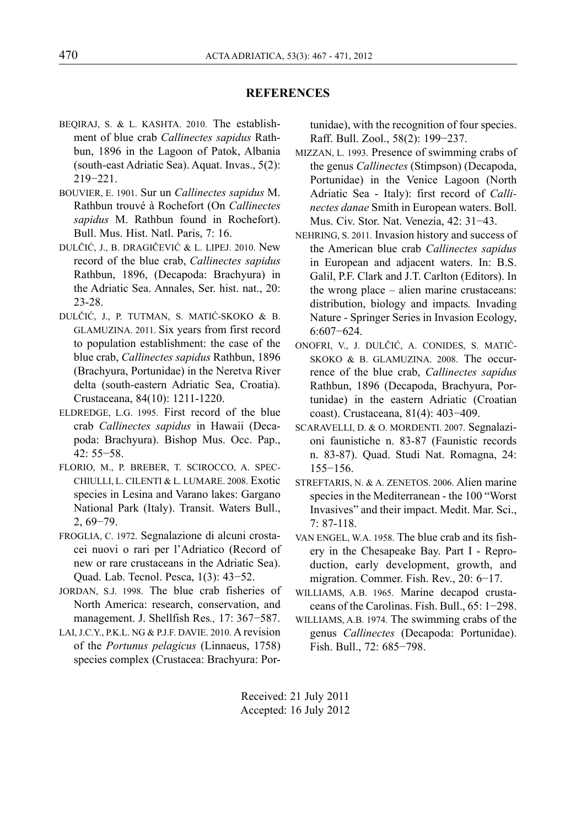## **REFERENCES**

- Beqiraj, S. & L. Kashta. 2010. The establishment of blue crab *Callinectes sapidus* Rathbun, 1896 in the Lagoon of Patok, Albania (south-east Adriatic Sea). Aquat. Invas., 5(2): 219−221.
- Bouvier, E. 1901. Sur un *Callinectes sapidus* M. Rathbun trouvé à Rochefort (On *Callinectes sapidus* M. Rathbun found in Rochefort). Bull. Mus. Hist. Natl. Paris, 7: 16.
- Dulčić, J., B. Dragičević & L. Lipej. 2010. New record of the blue crab, *Callinectes sapidus* Rathbun, 1896, (Decapoda: Brachyura) in the Adriatic Sea. Annales, Ser. hist. nat., 20: 23-28.
- Dulčić, J., P. Tutman, S. MatiĆ-Skoko & B. Glamuzina. 2011. Six years from first record to population establishment: the case of the blue crab, *Callinectes sapidus* Rathbun, 1896 (Brachyura, Portunidae) in the Neretva River delta (south-eastern Adriatic Sea, Croatia). Crustaceana, 84(10): 1211-1220.
- ELDREDGE, L.G. 1995. First record of the blue crab *Callinectes sapidus* in Hawaii (Decapoda: Brachyura). Bishop Mus. Occ. Pap., 42: 55−58.
- Florio, M., P. Breber, T. Scirocco, A. Specchiulli, L. Cilenti & L. Lumare. 2008. Exotic species in Lesina and Varano lakes: Gargano National Park (Italy). Transit. Waters Bull., 2, 69−79.
- Froglia, C. 1972. Segnalazione di alcuni crostacei nuovi o rari per l'Adriatico (Record of new or rare crustaceans in the Adriatic Sea). Quad. Lab. Tecnol. Pesca, 1(3): 43−52.
- JORDAN, S.J. 1998. The blue crab fisheries of North America: research, conservation, and management. J. Shellfish Res*.,* 17: 367−587.
- LAI, J.C.Y., P.K.L. NG & P.J.F. DAVIE. 2010. A revision of the *Portunus pelagicus* (Linnaeus, 1758) species complex (Crustacea: Brachyura: Por-

tunidae), with the recognition of four species. Raff. Bull. Zool., 58(2): 199−237.

- Mizzan, L. 1993. Presence of swimming crabs of the genus *Callinectes* (Stimpson) (Decapoda, Portunidae) in the Venice Lagoon (North Adriatic Sea - Italy): first record of *Callinectes danae* Smith in European waters. Boll. Mus. Civ. Stor. Nat. Venezia, 42: 31−43.
- Nehring, S. 2011. Invasion history and success of the American blue crab *Callinectes sapidus* in European and adjacent waters. In: B.S. Galil, P.F. Clark and J.T. Carlton (Editors). In the wrong place – alien marine crustaceans: distribution, biology and impacts*.* Invading Nature - Springer Series in Invasion Ecology, 6:607−624.
- Onofri, V., J. Dulčić, A. Conides, S. Matić-Skoko & B. Glamuzina. 2008. The occurrence of the blue crab, *Callinectes sapidus* Rathbun, 1896 (Decapoda, Brachyura, Portunidae) in the eastern Adriatic (Croatian coast). Crustaceana, 81(4): 403−409.
- Scaravelli, D. & O. Mordenti. 2007. Segnalazioni faunistiche n. 83-87 (Faunistic records n. 83-87). Quad. Studi Nat. Romagna, 24: 155−156.
- STREFTARIS, N. & A. ZENETOS. 2006. Alien marine species in the Mediterranean - the 100 "Worst Invasives" and their impact. Medit. Mar. Sci.,  $7.87 - 118$
- VAN ENGEL, W.A. 1958. The blue crab and its fishery in the Chesapeake Bay. Part I - Reproduction, early development, growth, and migration. Commer. Fish. Rev., 20: 6−17.
- Williams, A.B. 1965. Marine decapod crustaceans of the Carolinas. Fish. Bull., 65: 1−298.
- Williams, A.B. 1974. The swimming crabs of the genus *Callinectes* (Decapoda: Portunidae). Fish. Bull., 72: 685−798.

Received: 21 July 2011 Accepted: 16 July 2012